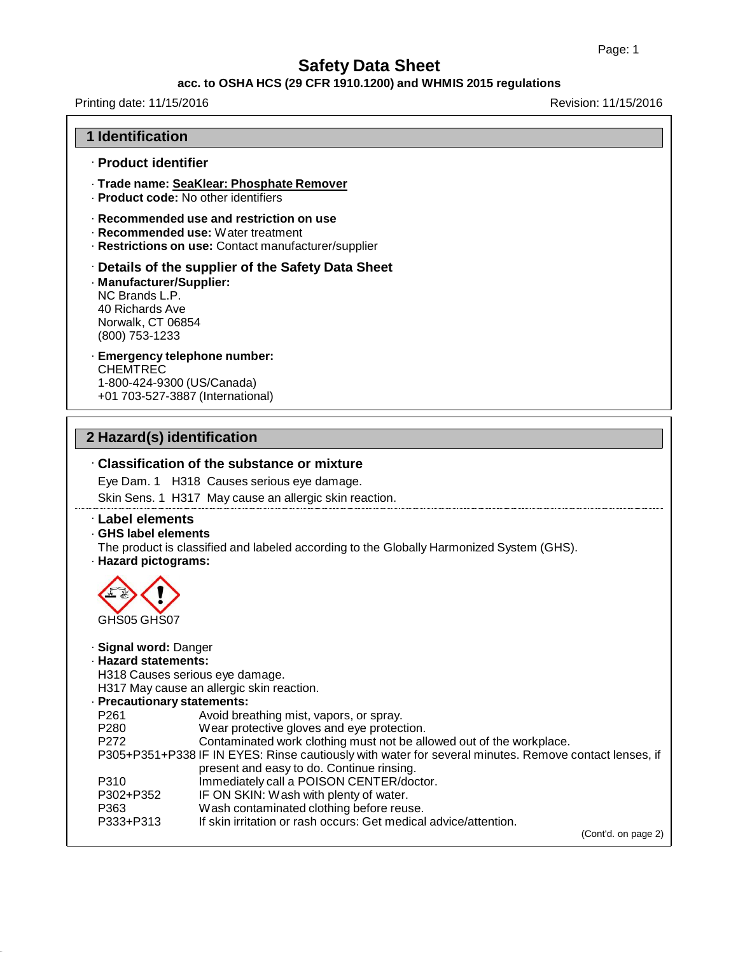#### **acc. to OSHA HCS (29 CFR 1910.1200) and WHMIS 2015 regulations**

## Printing date: 11/15/2016 **Revision: 11/15/2016**

| <b>1 Identification</b>                                                                              |                                                                                                                                        |
|------------------------------------------------------------------------------------------------------|----------------------------------------------------------------------------------------------------------------------------------------|
| · Product identifier                                                                                 |                                                                                                                                        |
|                                                                                                      | · Trade name: SeaKlear: Phosphate Remover<br>· Product code: No other identifiers                                                      |
|                                                                                                      | · Recommended use and restriction on use<br>· Recommended use: Water treatment<br>· Restrictions on use: Contact manufacturer/supplier |
| · Manufacturer/Supplier:<br>NC Brands L.P.<br>40 Richards Ave<br>Norwalk, CT 06854<br>(800) 753-1233 | Details of the supplier of the Safety Data Sheet                                                                                       |
| <b>CHEMTREC</b><br>1-800-424-9300 (US/Canada)                                                        | · Emergency telephone number:<br>+01 703-527-3887 (International)                                                                      |
| 2 Hazard(s) identification                                                                           |                                                                                                                                        |
|                                                                                                      |                                                                                                                                        |
|                                                                                                      |                                                                                                                                        |
|                                                                                                      | Classification of the substance or mixture                                                                                             |
|                                                                                                      | Eye Dam. 1 H318 Causes serious eye damage.<br>Skin Sens. 1 H317 May cause an allergic skin reaction.                                   |
| <b>Label elements</b>                                                                                |                                                                                                                                        |
| GHS label elements<br>· Hazard pictograms:                                                           | The product is classified and labeled according to the Globally Harmonized System (GHS).                                               |
|                                                                                                      |                                                                                                                                        |
| GHS05 GHS07                                                                                          |                                                                                                                                        |
| Signal word: Danger                                                                                  |                                                                                                                                        |
| · Hazard statements:                                                                                 |                                                                                                                                        |
|                                                                                                      | H318 Causes serious eye damage.                                                                                                        |
|                                                                                                      | H317 May cause an allergic skin reaction.                                                                                              |
| · Precautionary statements:<br>P261                                                                  | Avoid breathing mist, vapors, or spray.                                                                                                |
| P280                                                                                                 | Wear protective gloves and eye protection.                                                                                             |
| P272                                                                                                 | Contaminated work clothing must not be allowed out of the workplace.                                                                   |
|                                                                                                      | P305+P351+P338 IF IN EYES: Rinse cautiously with water for several minutes. Remove contact lenses, if                                  |
| P310                                                                                                 | present and easy to do. Continue rinsing.<br>Immediately call a POISON CENTER/doctor.                                                  |
| P302+P352                                                                                            | IF ON SKIN: Wash with plenty of water.                                                                                                 |
| P363<br>P333+P313                                                                                    | Wash contaminated clothing before reuse.<br>If skin irritation or rash occurs: Get medical advice/attention.                           |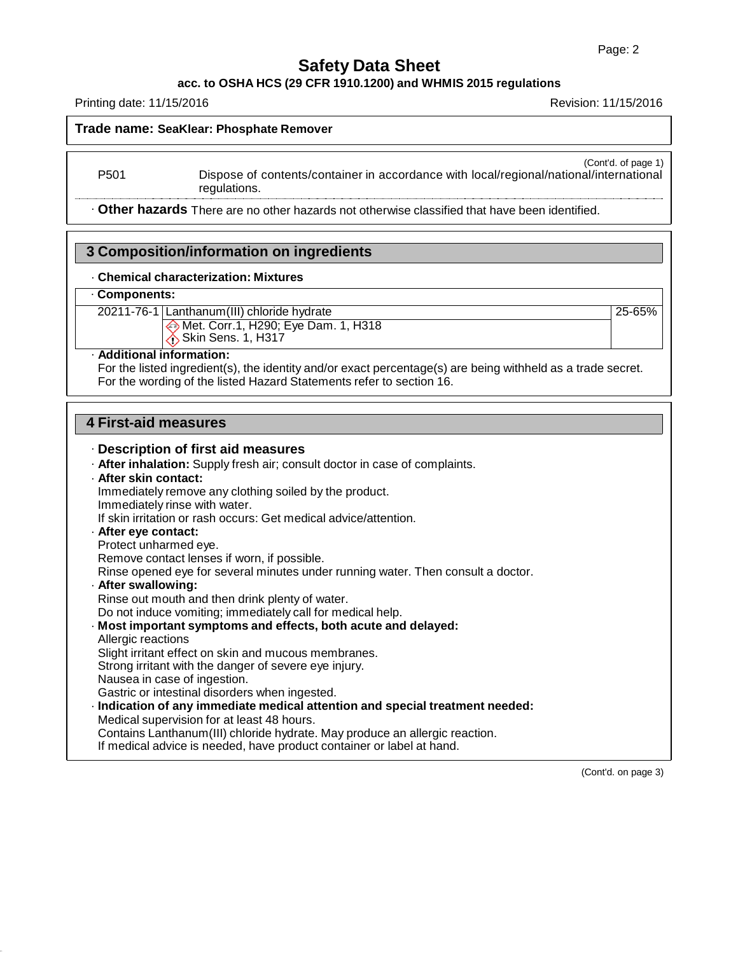### **acc. to OSHA HCS (29 CFR 1910.1200) and WHMIS 2015 regulations**

Printing date: 11/15/2016 Revision: 11/15/2016

**Trade name: SeaKlear: Phosphate Remover**

(Cont'd. of page 1) P501 Dispose of contents/container in accordance with local/regional/national/international

· **Other hazards** There are no other hazards not otherwise classified that have been identified.

### **3 Composition/information on ingredients**

regulations.

### · **Chemical characterization: Mixtures**

### · **Components:**

20211-76-1 Lanthanum(III) chloride hydrate 25-65%

Met. Corr.1, H290; Eye Dam. 1, H318  $\bigcirc$  Skin Sens. 1, H317

### · **Additional information:**

For the listed ingredient(s), the identity and/or exact percentage(s) are being withheld as a trade secret. For the wording of the listed Hazard Statements refer to section 16.

### **4 First-aid measures**

### · **Description of first aid measures**

· **After inhalation:** Supply fresh air; consult doctor in case of complaints.

#### · **After skin contact:** Immediately remove any clothing soiled by the product.

Immediately rinse with water. If skin irritation or rash occurs: Get medical advice/attention. · **After eye contact:**

### Protect unharmed eye.

Remove contact lenses if worn, if possible.

Rinse opened eye for several minutes under running water. Then consult a doctor.

### · **After swallowing:**

Rinse out mouth and then drink plenty of water.

Do not induce vomiting; immediately call for medical help.

### · **Most important symptoms and effects, both acute and delayed:** Allergic reactions

Slight irritant effect on skin and mucous membranes.

Strong irritant with the danger of severe eye injury.

Nausea in case of ingestion.

Gastric or intestinal disorders when ingested.

· **Indication of any immediate medical attention and special treatment needed:**

Medical supervision for at least 48 hours.

Contains Lanthanum(III) chloride hydrate. May produce an allergic reaction.

If medical advice is needed, have product container or label at hand.

(Cont'd. on page 3)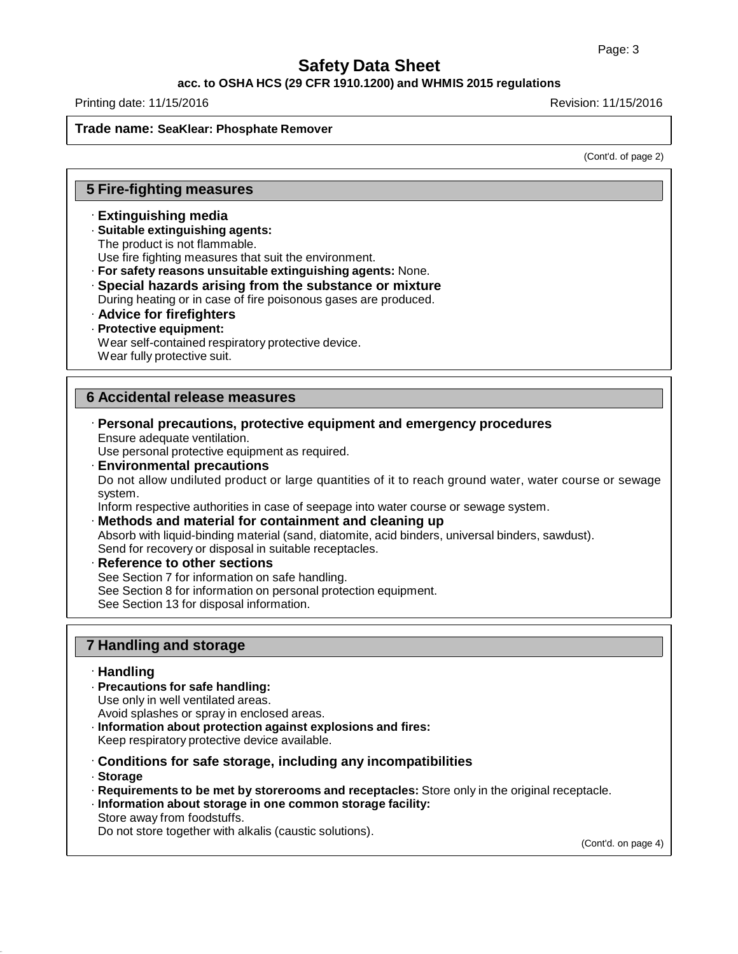### **acc. to OSHA HCS (29 CFR 1910.1200) and WHMIS 2015 regulations**

Printing date: 11/15/2016 Revision: 11/15/2016

### **Trade name: SeaKlear: Phosphate Remover**

(Cont'd. of page 2)

### **5 Fire-fighting measures**

- · **Extinguishing media**
- · **Suitable extinguishing agents:**
- The product is not flammable.

Use fire fighting measures that suit the environment.

· **For safety reasons unsuitable extinguishing agents:** None.

- · **Special hazards arising from the substance or mixture**
- During heating or in case of fire poisonous gases are produced.
- · **Advice for firefighters**
- · **Protective equipment:**

Wear self-contained respiratory protective device.

Wear fully protective suit.

### **6 Accidental release measures**

· **Personal precautions, protective equipment and emergency procedures** Ensure adequate ventilation.

Use personal protective equipment as required.

· **Environmental precautions**

Do not allow undiluted product or large quantities of it to reach ground water, water course or sewage system.

Inform respective authorities in case of seepage into water course or sewage system.

- · **Methods and material for containment and cleaning up** Absorb with liquid-binding material (sand, diatomite, acid binders, universal binders, sawdust). Send for recovery or disposal in suitable receptacles.
- · **Reference to other sections** See Section 7 for information on safe handling. See Section 8 for information on personal protection equipment. See Section 13 for disposal information.

### **7 Handling and storage**

- · **Handling**
- · **Precautions for safe handling:** Use only in well ventilated areas.
- Avoid splashes or spray in enclosed areas. · **Information about protection against explosions and fires:**

Keep respiratory protective device available.

- · **Conditions for safe storage, including any incompatibilities**
- · **Storage**
- · **Requirements to be met by storerooms and receptacles:** Store only in the original receptacle.
- · **Information about storage in one common storage facility:** Store away from foodstuffs.

Do not store together with alkalis (caustic solutions).

(Cont'd. on page 4)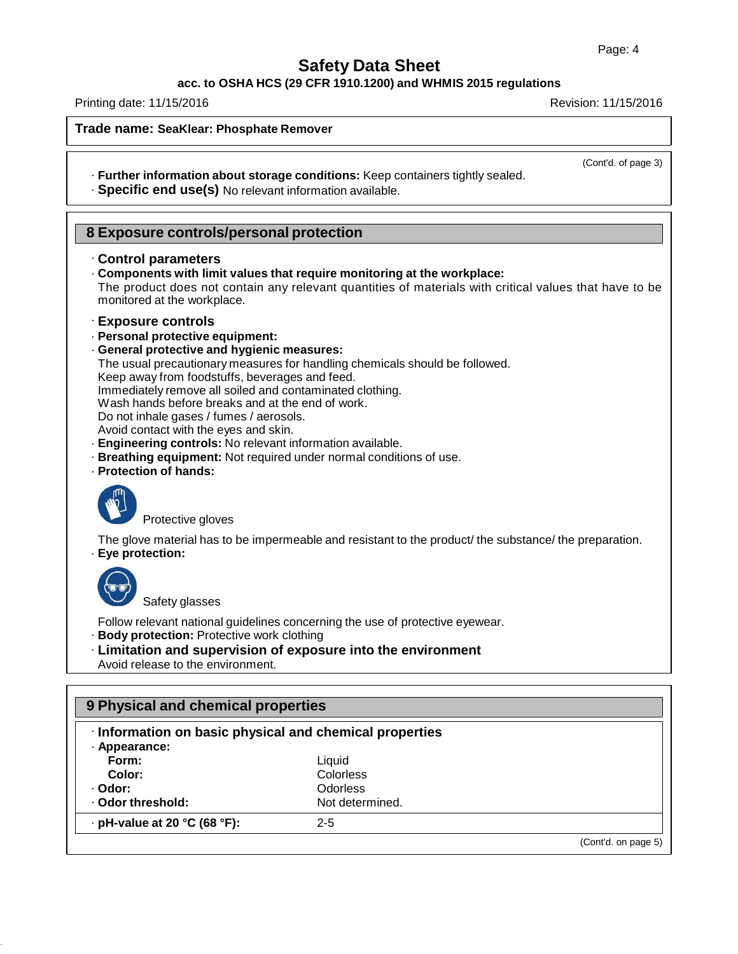**acc. to OSHA HCS (29 CFR 1910.1200) and WHMIS 2015 regulations**

Printing date: 11/15/2016 Revision: 11/15/2016

**Trade name: SeaKlear: Phosphate Remover**

(Cont'd. of page 3)

- · **Further information about storage conditions:** Keep containers tightly sealed.
- · **Specific end use(s)** No relevant information available.

### **8 Exposure controls/personal protection**

### · **Control parameters**

· **Components with limit values that require monitoring at the workplace:**

The product does not contain any relevant quantities of materials with critical values that have to be monitored at the workplace.

### · **Exposure controls**

- · **Personal protective equipment:**
- · **General protective and hygienic measures:**
- The usual precautionary measures for handling chemicals should be followed.

Keep away from foodstuffs, beverages and feed.

Immediately remove all soiled and contaminated clothing.

Wash hands before breaks and at the end of work.

Do not inhale gases / fumes / aerosols.

Avoid contact with the eyes and skin.

- · **Engineering controls:** No relevant information available.
- · **Breathing equipment:** Not required under normal conditions of use.
- · **Protection of hands:**



Protective gloves

The glove material has to be impermeable and resistant to the product/ the substance/ the preparation. · **Eye protection:**



Safety glasses

Follow relevant national guidelines concerning the use of protective eyewear.

- · **Body protection:** Protective work clothing
- · **Limitation and supervision of exposure into the environment** Avoid release to the environment.

| Information on basic physical and chemical properties |                 |                     |  |  |
|-------------------------------------------------------|-----------------|---------------------|--|--|
| · Appearance:                                         |                 |                     |  |  |
| Form:                                                 | Liquid          |                     |  |  |
| Color:                                                | Colorless       |                     |  |  |
| · Odor:                                               | <b>Odorless</b> |                     |  |  |
| Odor threshold:                                       | Not determined. |                     |  |  |
| $\cdot$ pH-value at 20 °C (68 °F):                    | $2 - 5$         |                     |  |  |
|                                                       |                 | (Cont'd. on page 5) |  |  |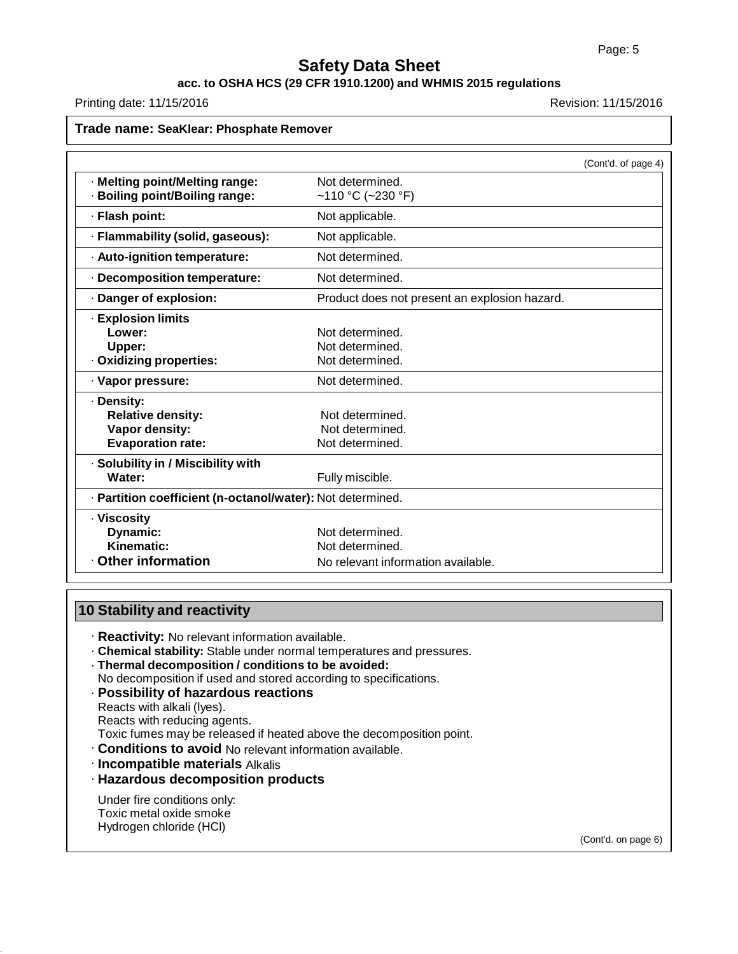### **acc. to OSHA HCS (29 CFR 1910.1200) and WHMIS 2015 regulations**

Printing date: 11/15/2016 **Revision: 11/15/2016** Revision: 11/15/2016

| Trade name: SeaKlear: Phosphate Remover                    |                                               |                     |
|------------------------------------------------------------|-----------------------------------------------|---------------------|
|                                                            |                                               | (Cont'd. of page 4) |
| · Melting point/Melting range:                             | Not determined.                               |                     |
| · Boiling point/Boiling range:                             | ~110 °C (~230 °F)                             |                     |
| · Flash point:                                             | Not applicable.                               |                     |
| · Flammability (solid, gaseous):                           | Not applicable.                               |                     |
| · Auto-ignition temperature:                               | Not determined.                               |                     |
| · Decomposition temperature:                               | Not determined.                               |                     |
| · Danger of explosion:                                     | Product does not present an explosion hazard. |                     |
| <b>Explosion limits</b>                                    |                                               |                     |
| Lower:                                                     | Not determined.                               |                     |
| Upper:                                                     | Not determined.                               |                     |
| · Oxidizing properties:                                    | Not determined.                               |                     |
| · Vapor pressure:                                          | Not determined.                               |                     |
| · Density:                                                 |                                               |                     |
| <b>Relative density:</b>                                   | Not determined.                               |                     |
| Vapor density:                                             | Not determined.                               |                     |
| <b>Evaporation rate:</b>                                   | Not determined.                               |                     |
| · Solubility in / Miscibility with                         |                                               |                     |
| Water:                                                     | Fully miscible.                               |                     |
| · Partition coefficient (n-octanol/water): Not determined. |                                               |                     |
| · Viscosity                                                |                                               |                     |
| Dynamic:                                                   | Not determined.                               |                     |
| Kinematic:                                                 | Not determined.                               |                     |
| Other information                                          | No relevant information available.            |                     |

### **10 Stability and reactivity**

- · **Reactivity:** No relevant information available.
- · **Chemical stability:** Stable under normal temperatures and pressures.
- · **Thermal decomposition / conditions to be avoided:**
- No decomposition if used and stored according to specifications.
- · **Possibility of hazardous reactions**
- Reacts with alkali (lyes). Reacts with reducing agents.
- Toxic fumes may be released if heated above the decomposition point.
- · **Conditions to avoid** No relevant information available.
- · **Incompatible materials** Alkalis
- · **Hazardous decomposition products**

Under fire conditions only: Toxic metal oxide smoke Hydrogen chloride (HCl)

(Cont'd. on page 6)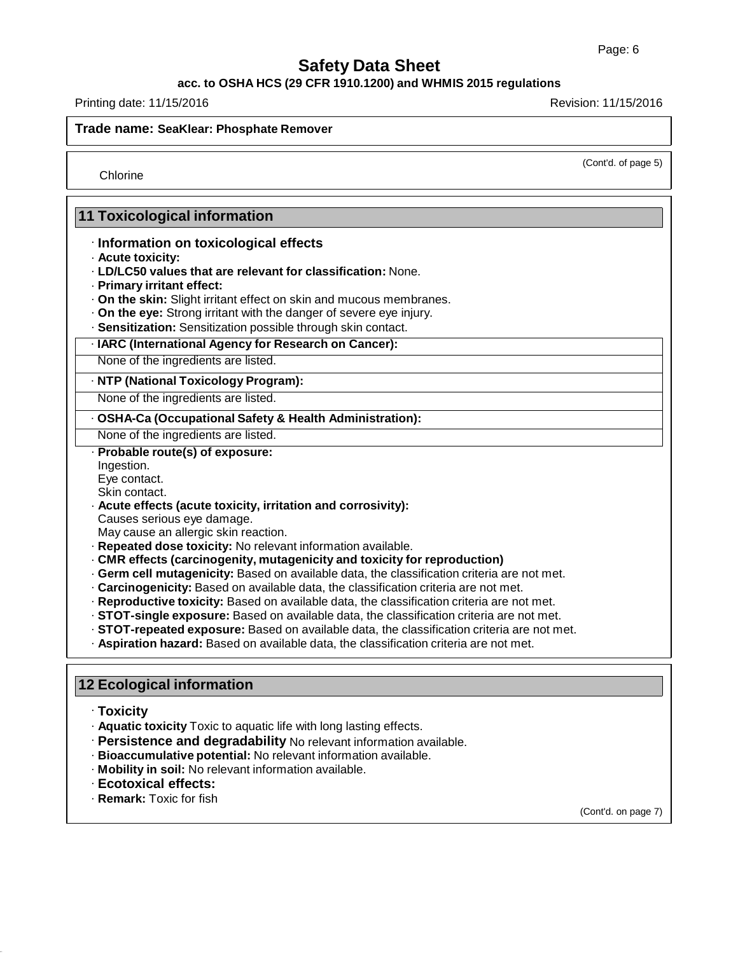### **acc. to OSHA HCS (29 CFR 1910.1200) and WHMIS 2015 regulations**

Printing date: 11/15/2016 Revision: 11/15/2016

**Trade name: SeaKlear: Phosphate Remover**

(Cont'd. of page 5)

Chlorine

### **11 Toxicological information**

### · **Information on toxicological effects**

- · **Acute toxicity:**
- · **LD/LC50 values that are relevant for classification:** None.
- · **Primary irritant effect:**
- · **On the skin:** Slight irritant effect on skin and mucous membranes.
- · **On the eye:** Strong irritant with the danger of severe eye injury.
- · **Sensitization:** Sensitization possible through skin contact.

### · **IARC (International Agency for Research on Cancer):**

None of the ingredients are listed.

### · **NTP (National Toxicology Program):**

None of the ingredients are listed.

### · **OSHA-Ca (Occupational Safety & Health Administration):**

None of the ingredients are listed.

## · **Probable route(s) of exposure:**

Ingestion. Eye contact.

### Skin contact.

· **Acute effects (acute toxicity, irritation and corrosivity):**

Causes serious eye damage.

May cause an allergic skin reaction.

- · **Repeated dose toxicity:** No relevant information available.
- · **CMR effects (carcinogenity, mutagenicity and toxicity for reproduction)**
- · **Germ cell mutagenicity:** Based on available data, the classification criteria are not met.
- · **Carcinogenicity:** Based on available data, the classification criteria are not met.
- · **Reproductive toxicity:** Based on available data, the classification criteria are not met.
- · **STOT-single exposure:** Based on available data, the classification criteria are not met.
- · **STOT-repeated exposure:** Based on available data, the classification criteria are not met.
- · **Aspiration hazard:** Based on available data, the classification criteria are not met.

### **12 Ecological information**

- · **Toxicity**
- · **Aquatic toxicity** Toxic to aquatic life with long lasting effects.
- · **Persistence and degradability** No relevant information available.
- · **Bioaccumulative potential:** No relevant information available.
- · **Mobility in soil:** No relevant information available.
- · **Ecotoxical effects:**
- · **Remark:** Toxic for fish

(Cont'd. on page 7)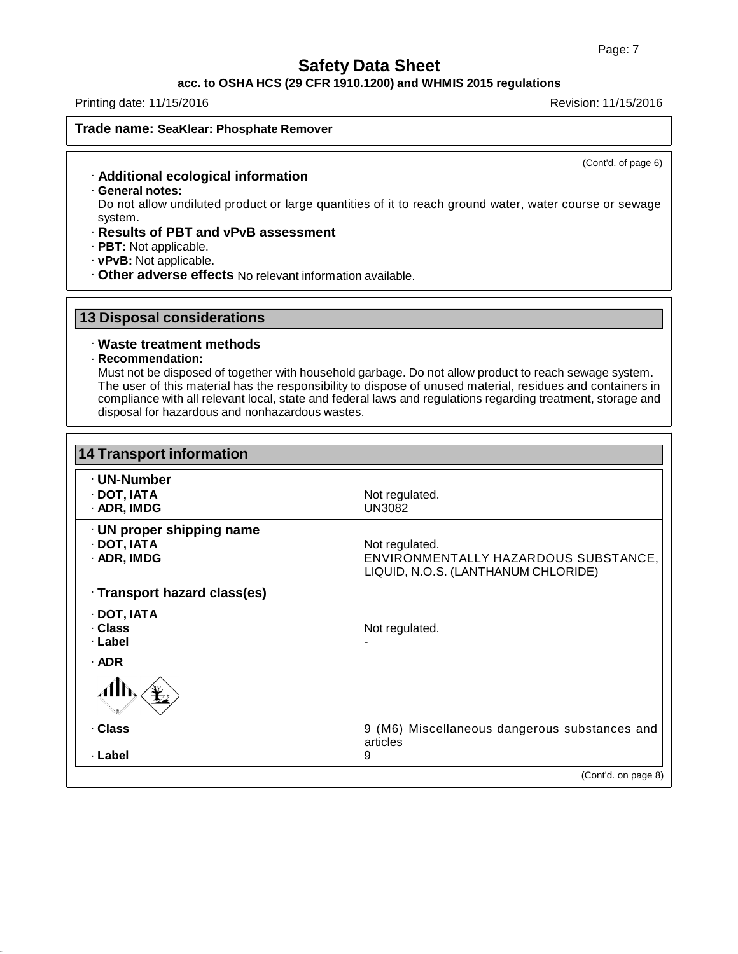### **acc. to OSHA HCS (29 CFR 1910.1200) and WHMIS 2015 regulations**

### Printing date: 11/15/2016 Revision: 11/15/2016

#### **Trade name: SeaKlear: Phosphate Remover**

(Cont'd. of page 6)

### · **Additional ecological information**

· **General notes:**

Do not allow undiluted product or large quantities of it to reach ground water, water course or sewage system.

- · **Results of PBT and vPvB assessment**
- · **PBT:** Not applicable.
- · **vPvB:** Not applicable.
- · **Other adverse effects** No relevant information available.

### **13 Disposal considerations**

### · **Waste treatment methods**

· **Recommendation:**

Must not be disposed of together with household garbage. Do not allow product to reach sewage system. The user of this material has the responsibility to dispose of unused material, residues and containers in compliance with all relevant local, state and federal laws and regulations regarding treatment, storage and disposal for hazardous and nonhazardous wastes.

| <b>14 Transport information</b> |                                                                             |
|---------------------------------|-----------------------------------------------------------------------------|
| · UN-Number                     |                                                                             |
| $\cdot$ DOT, IATA               | Not regulated.                                                              |
| $\cdot$ ADR, IMDG               | <b>UN3082</b>                                                               |
| $\cdot$ UN proper shipping name |                                                                             |
| · DOT, IATA                     | Not regulated.                                                              |
| · ADR, IMDG                     | ENVIRONMENTALLY HAZARDOUS SUBSTANCE,<br>LIQUID, N.O.S. (LANTHANUM CHLORIDE) |
| · Transport hazard class(es)    |                                                                             |
| · DOT, IATA                     |                                                                             |
| · Class                         | Not regulated.                                                              |
| · Label                         |                                                                             |
| $·$ ADR                         |                                                                             |
|                                 |                                                                             |
| · Class                         | 9 (M6) Miscellaneous dangerous substances and<br>articles                   |
| · Label                         | 9                                                                           |
|                                 | (Cont'd. on page 8)                                                         |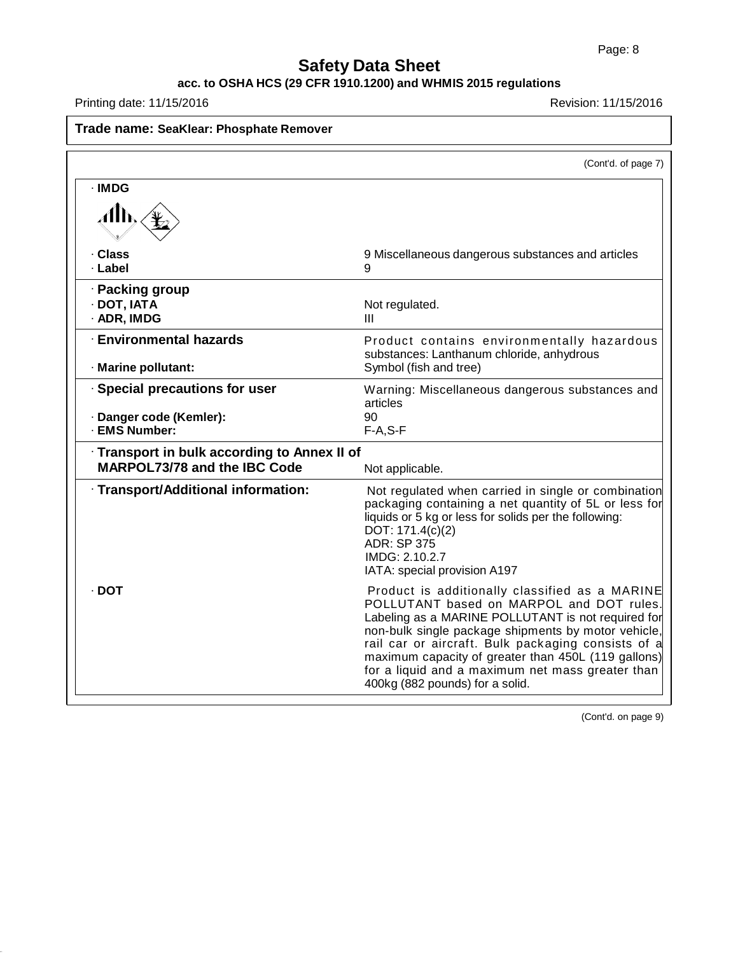## **Safety Data Sheet**

#### **acc. to OSHA HCS (29 CFR 1910.1200) and WHMIS 2015 regulations**

Printing date: 11/15/2016 **Revision: 11/15/2016** 

| Trade name: SeaKlear: Phosphate Remover                                      |                                                                                                                                                                                                                                                                                                                                                                                                             |
|------------------------------------------------------------------------------|-------------------------------------------------------------------------------------------------------------------------------------------------------------------------------------------------------------------------------------------------------------------------------------------------------------------------------------------------------------------------------------------------------------|
|                                                                              | (Cont'd. of page 7)                                                                                                                                                                                                                                                                                                                                                                                         |
| · IMDG<br>Aħ.                                                                |                                                                                                                                                                                                                                                                                                                                                                                                             |
| · Class<br>· Label                                                           | 9 Miscellaneous dangerous substances and articles<br>9                                                                                                                                                                                                                                                                                                                                                      |
| · Packing group<br>· DOT, IATA<br>· ADR, IMDG                                | Not regulated.<br>Ш                                                                                                                                                                                                                                                                                                                                                                                         |
| <b>Environmental hazards</b><br>· Marine pollutant:                          | Product contains environmentally hazardous<br>substances: Lanthanum chloride, anhydrous<br>Symbol (fish and tree)                                                                                                                                                                                                                                                                                           |
| · Special precautions for user<br>· Danger code (Kemler):<br>· EMS Number:   | Warning: Miscellaneous dangerous substances and<br>articles<br>90<br>$F-A, S-F$                                                                                                                                                                                                                                                                                                                             |
| · Transport in bulk according to Annex II of<br>MARPOL73/78 and the IBC Code | Not applicable.                                                                                                                                                                                                                                                                                                                                                                                             |
| · Transport/Additional information:                                          | Not regulated when carried in single or combination<br>packaging containing a net quantity of 5L or less for<br>liquids or 5 kg or less for solids per the following:<br>DOT: 171.4(c)(2)<br><b>ADR: SP 375</b><br>IMDG: 2.10.2.7<br>IATA: special provision A197                                                                                                                                           |
| · DOT                                                                        | Product is additionally classified as a MARINE<br>POLLUTANT based on MARPOL and DOT rules.<br>Labeling as a MARINE POLLUTANT is not required for<br>non-bulk single package shipments by motor vehicle,<br>rail car or aircraft. Bulk packaging consists of a<br>maximum capacity of greater than 450L (119 gallons)<br>for a liquid and a maximum net mass greater than<br>400kg (882 pounds) for a solid. |

(Cont'd. on page 9)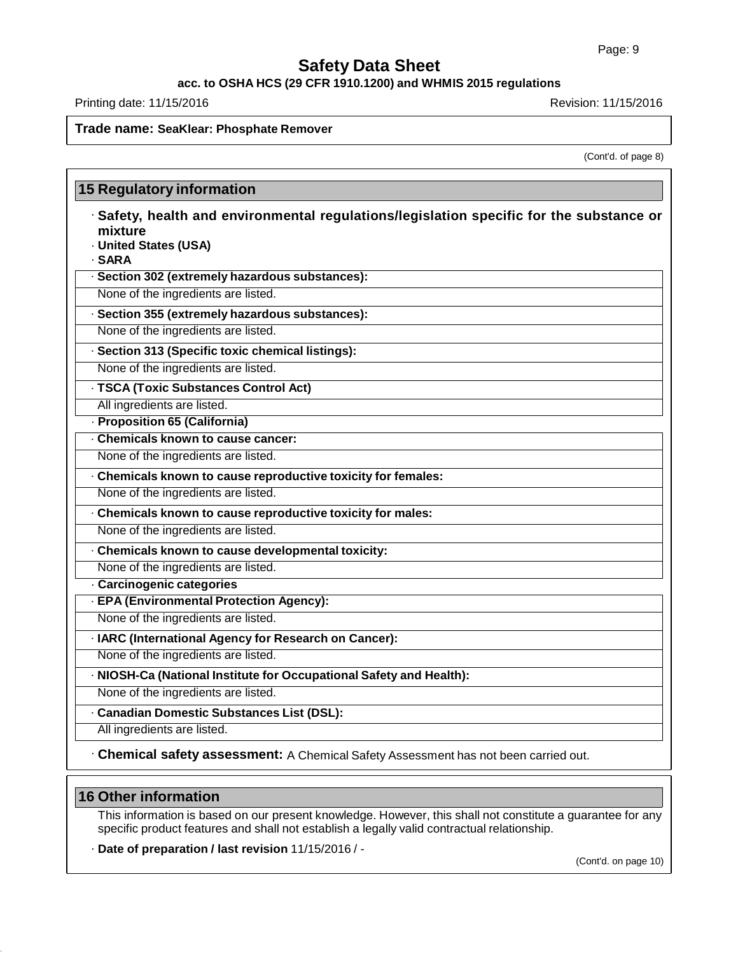**acc. to OSHA HCS (29 CFR 1910.1200) and WHMIS 2015 regulations**

Printing date: 11/15/2016 **Revision: 11/15/2016** 

### **Trade name: SeaKlear: Phosphate Remover**

(Cont'd. of page 8)

| mixture | · Safety, health and environmental regulations/legislation specific for the substance or<br>· United States (USA) |
|---------|-------------------------------------------------------------------------------------------------------------------|
| · SARA  |                                                                                                                   |
|         | · Section 302 (extremely hazardous substances):                                                                   |
|         | None of the ingredients are listed.                                                                               |
|         | · Section 355 (extremely hazardous substances):                                                                   |
|         | None of the ingredients are listed.                                                                               |
|         | · Section 313 (Specific toxic chemical listings):                                                                 |
|         | None of the ingredients are listed.                                                                               |
|         | · TSCA (Toxic Substances Control Act)                                                                             |
|         | All ingredients are listed.                                                                                       |
|         | - Proposition 65 (California)                                                                                     |
|         | . Chemicals known to cause cancer:                                                                                |
|         | None of the ingredients are listed.                                                                               |
|         | . Chemicals known to cause reproductive toxicity for females:                                                     |
|         | None of the ingredients are listed.                                                                               |
|         | . Chemicals known to cause reproductive toxicity for males:                                                       |
|         | None of the ingredients are listed.                                                                               |
|         | . Chemicals known to cause developmental toxicity:                                                                |
|         | None of the ingredients are listed.                                                                               |
|         | · Carcinogenic categories                                                                                         |
|         | · EPA (Environmental Protection Agency):                                                                          |
|         | None of the ingredients are listed.                                                                               |
|         | · IARC (International Agency for Research on Cancer):                                                             |
|         | None of the ingredients are listed.                                                                               |
|         | · NIOSH-Ca (National Institute for Occupational Safety and Health):                                               |
|         | None of the ingredients are listed.                                                                               |
|         | · Canadian Domestic Substances List (DSL):                                                                        |
|         | All ingredients are listed.                                                                                       |
|         | · Chemical safety assessment: A Chemical Safety Assessment has not been carried out.                              |

### **16 Other information**

This information is based on our present knowledge. However, this shall not constitute a guarantee for any specific product features and shall not establish a legally valid contractual relationship.

· **Date of preparation / last revision** 11/15/2016 / -

(Cont'd. on page 10)